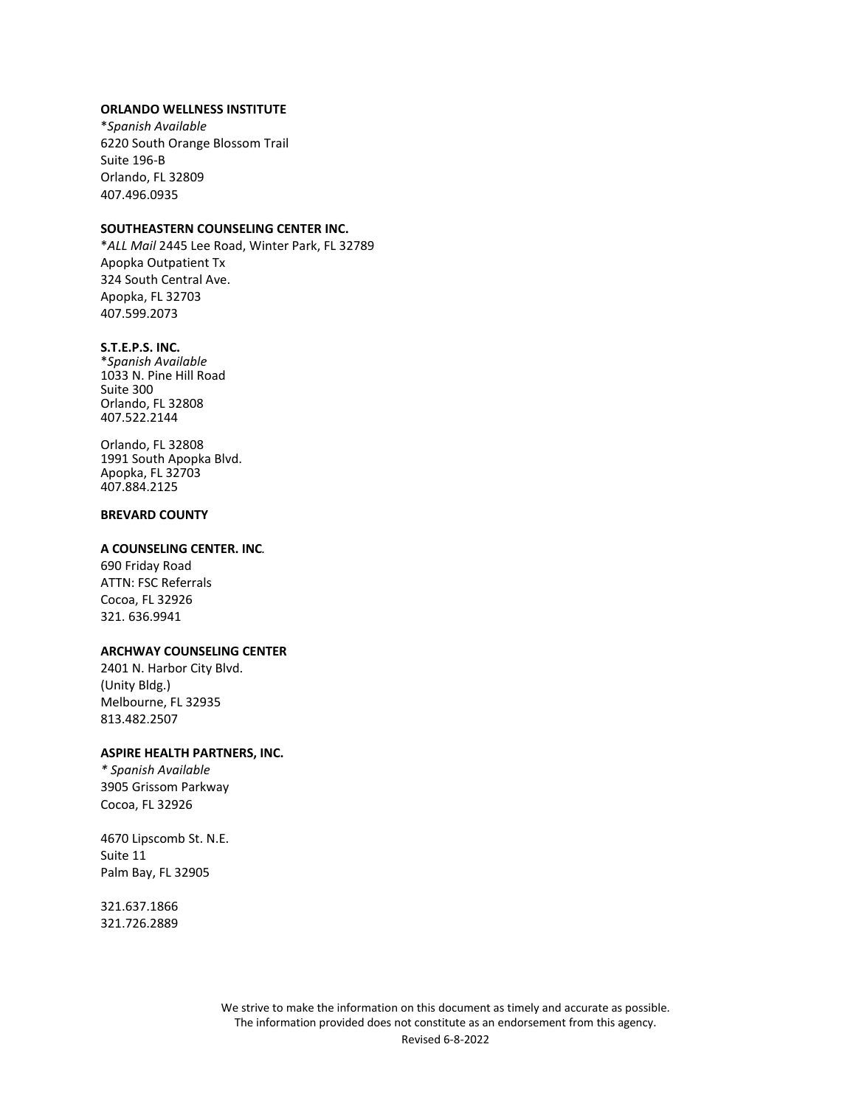## **ORLANDO WELLNESS INSTITUTE**

\**Spanish Available* 6220 South Orange Blossom Trail Suite 196-B Orlando, FL 32809 407.496.0935

## **SOUTHEASTERN COUNSELING CENTER INC.**

\**ALL Mail* 2445 Lee Road, Winter Park, FL 32789 Apopka Outpatient Tx 324 South Central Ave. Apopka, FL 32703 407.599.2073

#### **S.T.E.P.S. INC.**

\**Spanish Available* 1033 N. Pine Hill Road Suite 300 Orlando, FL 32808 407.522.2144

Orlando, FL 32808 1991 South Apopka Blvd. Apopka, FL 32703 407.884.2125

# **BREVARD COUNTY**

### **A COUNSELING CENTER. INC***.*

690 Friday Road ATTN: FSC Referrals Cocoa, FL 32926 321. 636.9941

## **ARCHWAY COUNSELING CENTER**

2401 N. Harbor City Blvd. (Unity Bldg.) Melbourne, FL 32935 813.482.2507

## **ASPIRE HEALTH PARTNERS, INC.**

*\* Spanish Available* 3905 Grissom Parkway Cocoa, FL 32926

4670 Lipscomb St. N.E. Suite 11 Palm Bay, FL 32905

321.637.1866 321.726.2889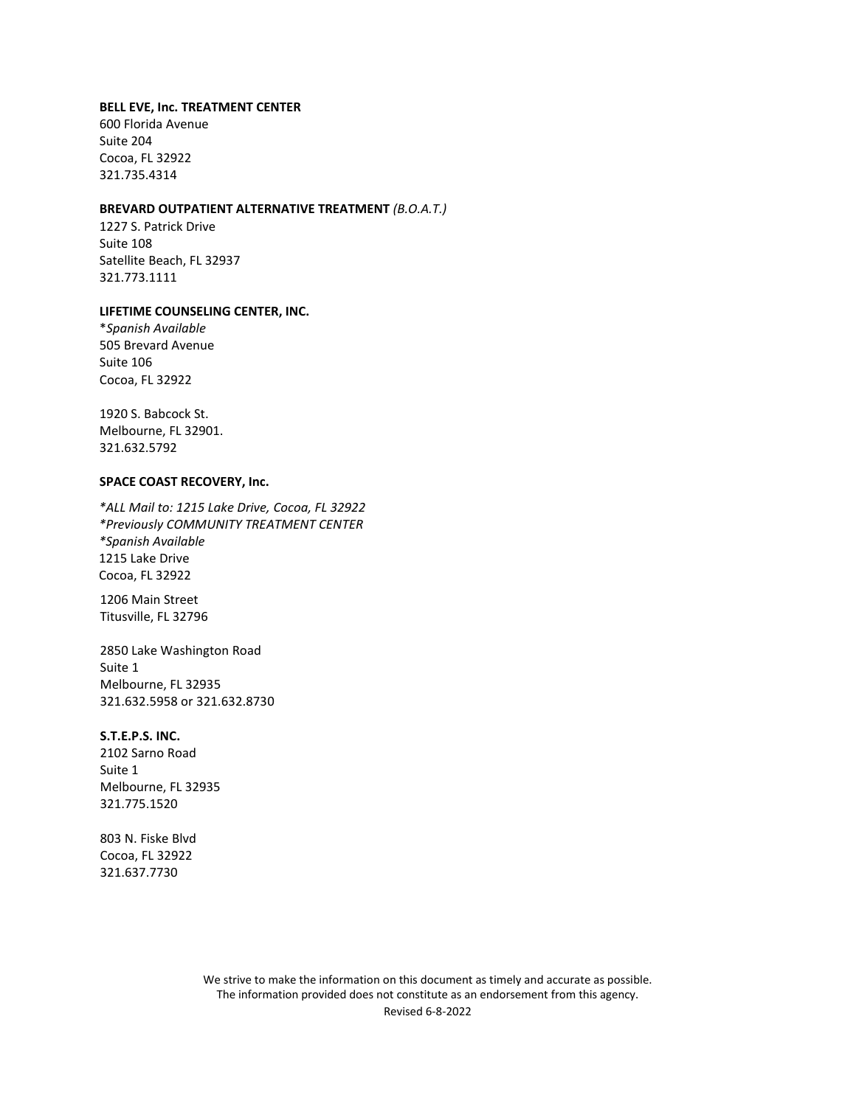## **BELL EVE, Inc. TREATMENT CENTER**

600 Florida Avenue Suite 204 Cocoa, FL 32922 321.735.4314

# **BREVARD OUTPATIENT ALTERNATIVE TREATMENT** *(B.O.A.T.)*

1227 S. Patrick Drive Suite 108 Satellite Beach, FL 32937 321.773.1111

# **LIFETIME COUNSELING CENTER, INC.**

\**Spanish Available* 505 Brevard Avenue Suite 106 Cocoa, FL 32922

1920 S. Babcock St. Melbourne, FL 32901. 321.632.5792

## **SPACE COAST RECOVERY, Inc.**

*\*ALL Mail to: 1215 Lake Drive, Cocoa, FL 32922 \*Previously COMMUNITY TREATMENT CENTER \*Spanish Available* 1215 Lake Drive Cocoa, FL 32922

1206 Main Street Titusville, FL 32796

2850 Lake Washington Road Suite 1 Melbourne, FL 32935 321.632.5958 or 321.632.8730

### **S.T.E.P.S. INC.**

2102 Sarno Road Suite 1 Melbourne, FL 32935 321.775.1520

803 N. Fiske Blvd Cocoa, FL 32922 321.637.7730